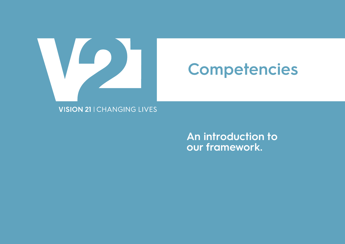

## **Competencies**

**VISION 21 | CHANGING LIVES** 

**An introduction to our framework.**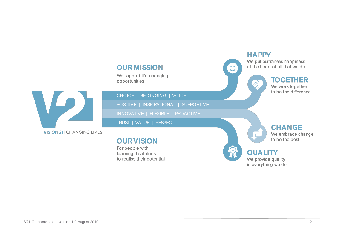## **OUR MISSION**

We support life-changing opportunities

H **VISION 21 | CHANGING LIVES** 

CHOICE | BELONGING | VOICE

POSITIVE | INSPIRATIONAL | SUPPORTIVE

**2019**

INNOVATIVE | FLEXIBLE | PROACTIVE

TRUST | VALUE | RESPECT

## **OURVISION**

For people with learning disabilities to realise their potential



**HAPPY** 

## **TOGETHER**

We work together to be the difference



**CHANGE** We embrace change

### **QUALITY** We provide quality

in everything we do

**V21** Competencies, version 1.0 August 2019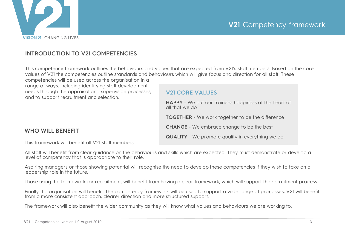

### **INTRODUCTION TO V21 COMPETENCIES**

This competency framework outlines the behaviours and values that are expected from V21's staff members. Based on the core values of V21 the competencies outline standards and behaviours which will give focus and direction for all staff. These

competencies will be used across the organisation in a range of ways, including identifying staff development needs through the appraisal and supervision processes, and to support recruitment and selection.

### **V21 CORE VALUES**

**HAPPY** - We put our trainees happiness at the heart of all that we do **TOGETHER** - We work together to be the difference **CHANGE** - We embrace change to be the best **QUALITY** - We promote quality in everything we do

### **WHO WILL BENEFIT**

This framework will benefit all V21 staff members.

All staff will benefit from clear guidance on the behaviours and skills which are expected. They must demonstrate or develop a level of competency that is appropriate to their role.

Aspiring managers or those showing potential will recognise the need to develop these competencies if they wish to take on a leadership role in the future.

Those using the framework for recruitment, will benefit from having a clear framework, which will support the recruitment process.

Finally the organisation will benefit. The competency framework will be used to support a wide range of processes, V21 will benefit from a more consistent approach, clearer direction and more structured support.

**2019**

The framework will also benefit the wider community as they will know what values and behaviours we are working to.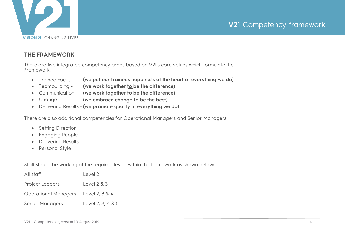

### **THE FRAMEWORK**

There are five integrated competency areas based on V21's core values which formulate the Framework.

- � Trainee Focus **(we put our trainees happiness at the heart of everything we do)**
- � Teambuilding **(we work together to be the difference)**
- Communication **(we work together to be the difference)**
- $\bullet$  Change -(we embrace change to be the best)
- � Delivering Results **(we promote quality in everything we do)**

There are also additional competencies for Operational Managers and Senior Managers:

- Setting Direction
- **Engaging People**
- Delivering Results
- Personal Style

Staff should be working at the required levels within the framework as shown below:

**2019**

| All staff              | Level 2           |
|------------------------|-------------------|
| <b>Project Leaders</b> | Level $2 & 3$     |
| Operational Managers   | Level 2, 3 & 4    |
| <b>Senior Managers</b> | Level 2, 3, 4 & 5 |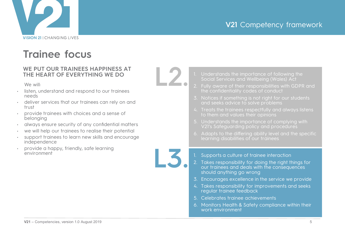

## **Trainee focus**

### **WE PUT OUR TRAINEES HAPPINESS AT THE HEART OF EVERYTHING WE DO**

We will:

- listen, understand and respond to our trainees needs
- deliver services that our trainees can rely on and trust
- provide trainees with choices and a sense of belonging
- always ensure security of any confidential matters
- we will help our trainees to realise their potential
- support trainees to learn new skills and encourage independence
- provide a happy, friendly, safe learning environment



- 1. Understands the importance of following the Social Services and Wellbeing (Wales) Act
- 2. Fully aware of their responsibilities with GDPR and the confidentiality codes of conduct
- 3. Notices if something is not right for our students and seeks advice to solve problems
- 4. Treats the trainees respectfully and always listens to them and values their opinions
- 5. Understands the importance of complying with V21's Safeguarding policy and procedures
- 6. Adapts to the differing ability level and the specific learning disabilities of our trainees



- 2. Takes responsibility for doing the right things for our trainees and deals with the consequences should anything go wrong
- 3. Encourages excellence in the service we provide
- 4. Takes responsibility for improvements and seeks regular trainee feedback
- 5. Celebrates trainee achievements
- 6. Monitors Health & Safety compliance within their work environment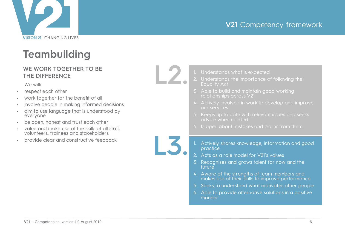

## **Teambuilding**

### **WE WORK TOGETHER TO BE THE DIFFERENCE**

We will:

- respect each other
- work together for the benefit of all
- involve people in making informed decisions
- aim to use language that is understood by everyone
- be open, honest and trust each other
- value and make use of the skills of all staff, volunteers, trainees and stakeholders
- provide clear and constructive feedback



- Understands what is expected
- 
- 3. Able to build and maintain good working relationships across V21
- 4. Actively involved in work to develop and improve our services
- 5. Keeps up to date with relevant issues and seeks advice when needed
- 6. Is open about mistakes and learns from them
- 1. Actively shares knowledge, information and good practice
- 2. Acts as a role model for V21's values
- 3. Recognises and grows talent for now and the future
- 4. Aware of the strengths of team members and makes use of their skills to improve performance
- 5. Seeks to understand what motivates other people
- 6. Able to provide alternative solutions in a positive manner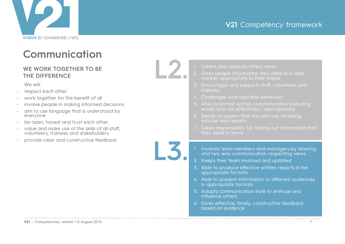

## **Communication**

### **WE WORK TOGETHER TO BE THE DIFFERENCE**

We will:

- respect each other
- work together for the benefit of all
- involve people in making informed decisions
- aim to use language that is understood by everyone
- be open, honest and trust each other
- value and make use of the skills of all staff, volunteers, trainees and stakeholders
- provide clear and constructive feedback



- 1. Listens and respects others views
- 2. Gives people information they need in <sup>a</sup> clear manner appropriate to their needs
- 3. Encourages and supports staff, volunteers and trainees
- 4. Challenges unacceptable behaviour
- 5. Able to format written communication (including email) and use effectively / appropriately
- 6. Reads all papers that are sent out, including minutes and reports
- 7. Takes responsibility for finding out information that
- 1. Involves team members and managers by listening and two way communication respecting views
- 2. Keeps their team involved and updated
- 3. Able to produce effective written reports in the appropriate formats
- 4. Able to present information to different audiences in appropriate formats
- 5. Adapts communication style to enthuse and influence others
- 6. Gives effective, timely, constructive feedback based on evidence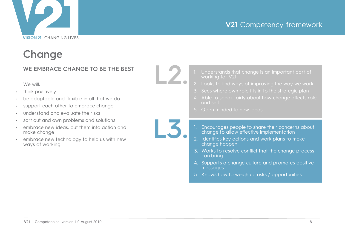# **VISION 21 | CHANGING LIVES**

## **V21** Competency framework

## **Change**

### **WE EMBRACE CHANGE TO BE THE BEST**

We will:

- think positively
- be adaptable and flexible in all that we do
- support each other to embrace change
- understand and evaluate the risks
- sort out and own problems and solutions
- embrace new ideas, put them into action and make change
- embrace new technology to help us with new ways of working



- 1. Understands that change is an important part of working for V21
- 2. Looks to find ways of improving the way we work
- 3. Sees where own role fits in to the strategic plan
- 4. Able to speak fairly about how change affects role and self
- 5. Open minded to new ideas
- 1. Encourages people to share their concerns about change to allow effective implementation
- 2. Identifies key actions and work plans to make change happen
- 3. Works to resolve conflict that the change process can bring
- 4. Supports a change culture and promotes positive messages
- 5. Knows how to weigh up risks / opportunities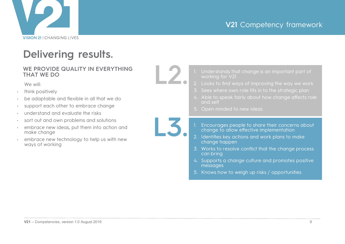

## **Delivering results.**

### **WE PROVIDE QUALITY IN EVERYTHING THAT WE DO**

We will:

- think positively
- be adaptable and flexible in all that we do
- support each other to embrace change
- understand and evaluate the risks
- sort out and own problems and solutions
- embrace new ideas, put them into action and make change
- embrace new technology to help us with new ways of working



**L3.**

**2019**

- 1. Understands that change is an important part of working for V21
- 2. Looks to find ways of improving the way we work
- 3. Sees where own role fits in to the strategic plan
- 4. Able to speak fairly about how change affects role and self
- 5. Open minded to new ideas
- 1. Encourages people to share their concerns about change to allow effective implementation
- 2. Identifies key actions and work plans to make change happen
- 3. Works to resolve conflict that the change process can bring
- 4. Supports a change culture and promotes positive messages
- 5. Knows how to weigh up risks / opportunities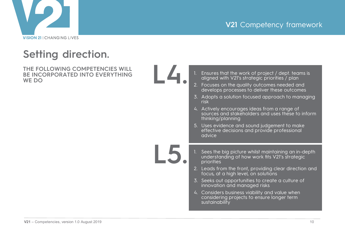

## **Setting direction.**

**THE FOLLOWING COMPETENCIES WILL BE INCORPORATED INTO EVERYTHING WE DO**



**L5.**

| 1. Ensures that the work of project / dept. teams is |  |
|------------------------------------------------------|--|
| aligned with V21's strategic priorities / plan       |  |

- 2. Focuses on the quality outcomes needed and develops processes to deliver these outcomes
- 3. Adopts a solution focused approach to managing risk
- 4. Actively encourages ideas from a range of sources and stakeholders and uses these to inform thinking/planning
- 5. Uses evidence and sound judgement to make effective decisions and provide professional advice
- 1. Sees the big picture whilst maintaining an in-depth understanding of how work fits V21's strategic priorities
- 2. Leads from the front, providing clear direction and focus, at a high level, on solutions
- 3. Seeks out opportunities to create a culture of innovation and managed risks
- 4. Considers business viability and value when considering projects to ensure longer term sustainability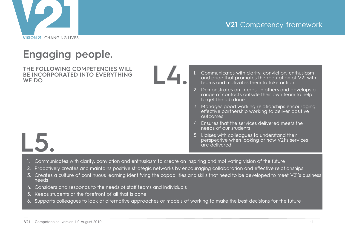

## **Engaging people.**

**THE FOLLOWING COMPETENCIES WILL BE INCORPORATED INTO EVERYTHING WE DO**



- 1. Communicates with clarity, conviction, enthusiasm and pride that promotes the reputation of V21 with teams and motivates them to take action
- 2. Demonstrates an interest in others and develops a range of contacts outside their own team to help to get the job done
- 3. Manages good working relationships encouraging effective partnership working to deliver positive outcomes
- 4. Ensures that the services delivered meets the needs of our students
- 5. Liaises with colleagues to understand their perspective when looking at how V21's services are delivered
- **L5.**
	- 1. Communicates with clarity, conviction and enthusiasm to create an inspiring and motivating vision of the future
	- 2. Proactively creates and maintains positive strategic networks by encouraging collaboration and effective relationships
	- 3. Creates a culture of continuous learning identifying the capabilities and skills that need to be developed to meet V21's business needs
	- 4. Considers and responds to the needs of staff teams and individuals
	- 5. Keeps students at the forefront of all that is done
	- 6. Supports colleagues to look at alternative approaches or models of working to make the best decisions for the future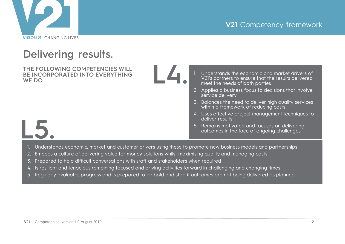

## **Delivering results.**

**THE FOLLOWING COMPETENCIES WILL BE INCORPORATED INTO EVERYTHING WE DO**

**L4.**

- Understands the economic and market drivers of V21's partners to ensure that the results delivered meet the needs of both parties
- 2. Applies a business focus to decisions that involve service delivery
- 3. Balances the need to deliver high quality services within a framework of reducing costs
- 4. Uses effective project management techniques to deliver results
- 5. Remains motivated and focuses on delivering outcomes in the face of ongoing challenges



- 1. Understands economic, market and customer drivers using these to promote new business models and partnerships
- 2. Embeds a culture of delivering value for money solutions whilst maximising quality and managing costs
- 3. Prepared to hold difficult conversations with staff and stakeholders when required
- 4. Is resilient and tenacious remaining focused and driving activities forward in challenging and changing times
- 5. Regularly evaluates progress and is prepared to be bold and stop if outcomes are not being delivered as planned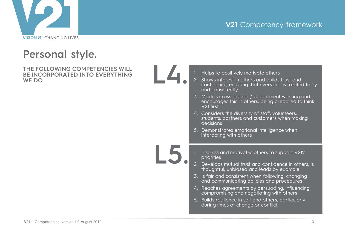

## **Personal style.**

**THE FOLLOWING COMPETENCIES WILL BE INCORPORATED INTO EVERYTHING WE DO**



|                         |                 | 1. Helps to positively motivate others                                                                                       |  |
|-------------------------|-----------------|------------------------------------------------------------------------------------------------------------------------------|--|
|                         |                 | 2. Shows interest in others and builds trust and<br>confidence, ensuring that everyone is treated fairly<br>and consistently |  |
|                         |                 | 3. Models cross project / department working and<br>encourages this in others, being prepared to think<br>V21 first          |  |
|                         |                 | 4. Considers the diversity of staff, volunteers,<br>students, partners and customers when making<br>decisions                |  |
|                         |                 | 5. Demonstrates emotional intelligence when<br>interacting with others                                                       |  |
|                         |                 |                                                                                                                              |  |
|                         |                 |                                                                                                                              |  |
|                         | 1.              | Inspires and motivates others to support V21's<br>priorities                                                                 |  |
| $\overline{\mathbf{5}}$ | 2.              | Develops mutual trust and confidence in others, is<br>thoughtful, unbiased and leads by example                              |  |
|                         | $\mathcal{Z}$ . | Is fair and consistent when following, changing<br>and communicating policies and procedures                                 |  |
|                         |                 | 4. Reaches agreements by persuading, influencing,<br>compromising and negotiating with others                                |  |